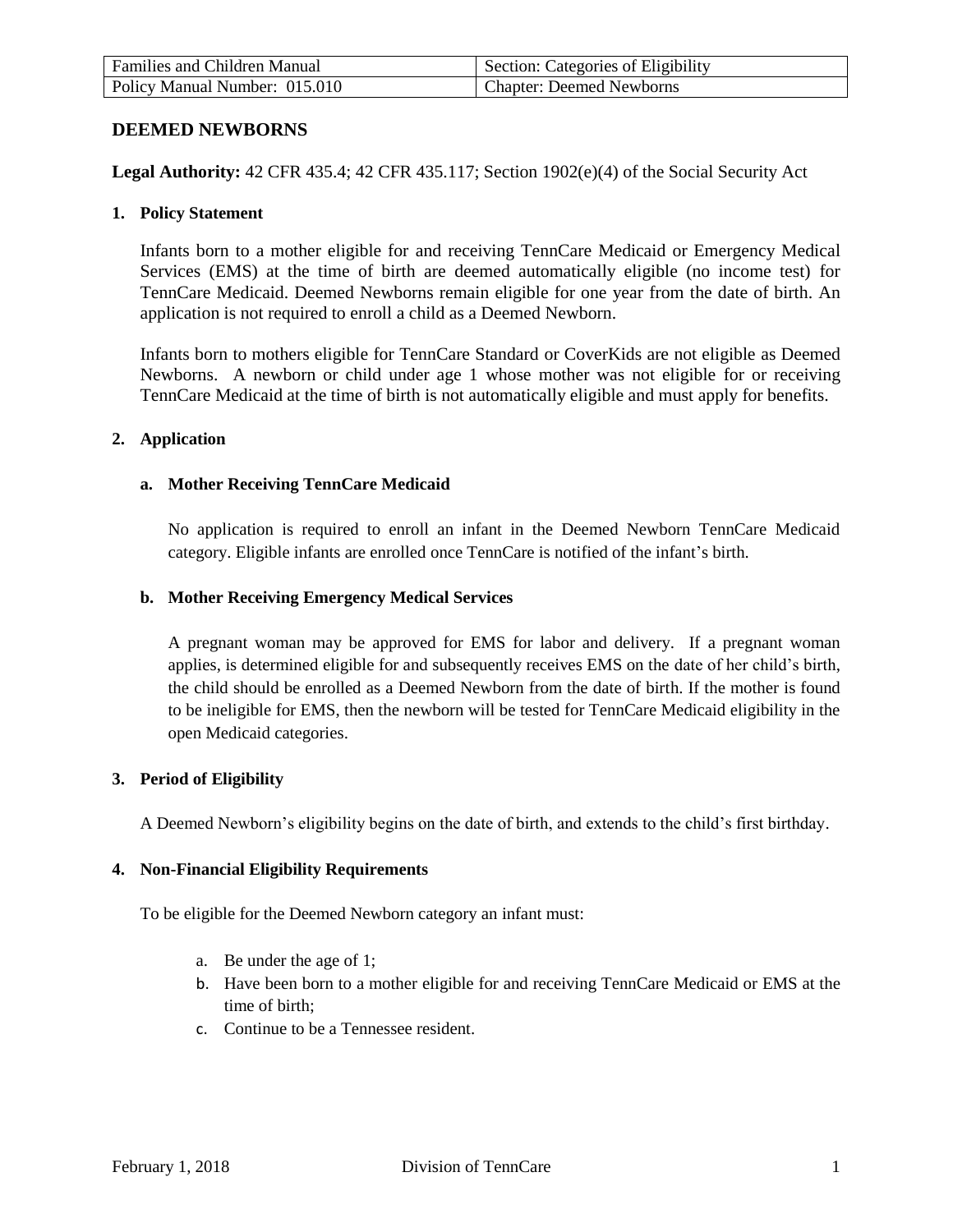| <b>Families and Children Manual</b> | Section: Categories of Eligibility |
|-------------------------------------|------------------------------------|
| Policy Manual Number: 015.010       | <b>Chapter: Deemed Newborns</b>    |

## **DEEMED NEWBORNS**

**Legal Authority:** 42 CFR 435.4; 42 CFR 435.117; Section 1902(e)(4) of the Social Security Act

#### **1. Policy Statement**

Infants born to a mother eligible for and receiving TennCare Medicaid or Emergency Medical Services (EMS) at the time of birth are deemed automatically eligible (no income test) for TennCare Medicaid. Deemed Newborns remain eligible for one year from the date of birth. An application is not required to enroll a child as a Deemed Newborn.

Infants born to mothers eligible for TennCare Standard or CoverKids are not eligible as Deemed Newborns. A newborn or child under age 1 whose mother was not eligible for or receiving TennCare Medicaid at the time of birth is not automatically eligible and must apply for benefits.

#### **2. Application**

#### **a. Mother Receiving TennCare Medicaid**

No application is required to enroll an infant in the Deemed Newborn TennCare Medicaid category. Eligible infants are enrolled once TennCare is notified of the infant's birth.

#### **b. Mother Receiving Emergency Medical Services**

A pregnant woman may be approved for EMS for labor and delivery. If a pregnant woman applies, is determined eligible for and subsequently receives EMS on the date of her child's birth, the child should be enrolled as a Deemed Newborn from the date of birth. If the mother is found to be ineligible for EMS, then the newborn will be tested for TennCare Medicaid eligibility in the open Medicaid categories.

## **3. Period of Eligibility**

A Deemed Newborn's eligibility begins on the date of birth, and extends to the child's first birthday.

## **4. Non-Financial Eligibility Requirements**

To be eligible for the Deemed Newborn category an infant must:

- a. Be under the age of 1;
- b. Have been born to a mother eligible for and receiving TennCare Medicaid or EMS at the time of birth;
- c. Continue to be a Tennessee resident.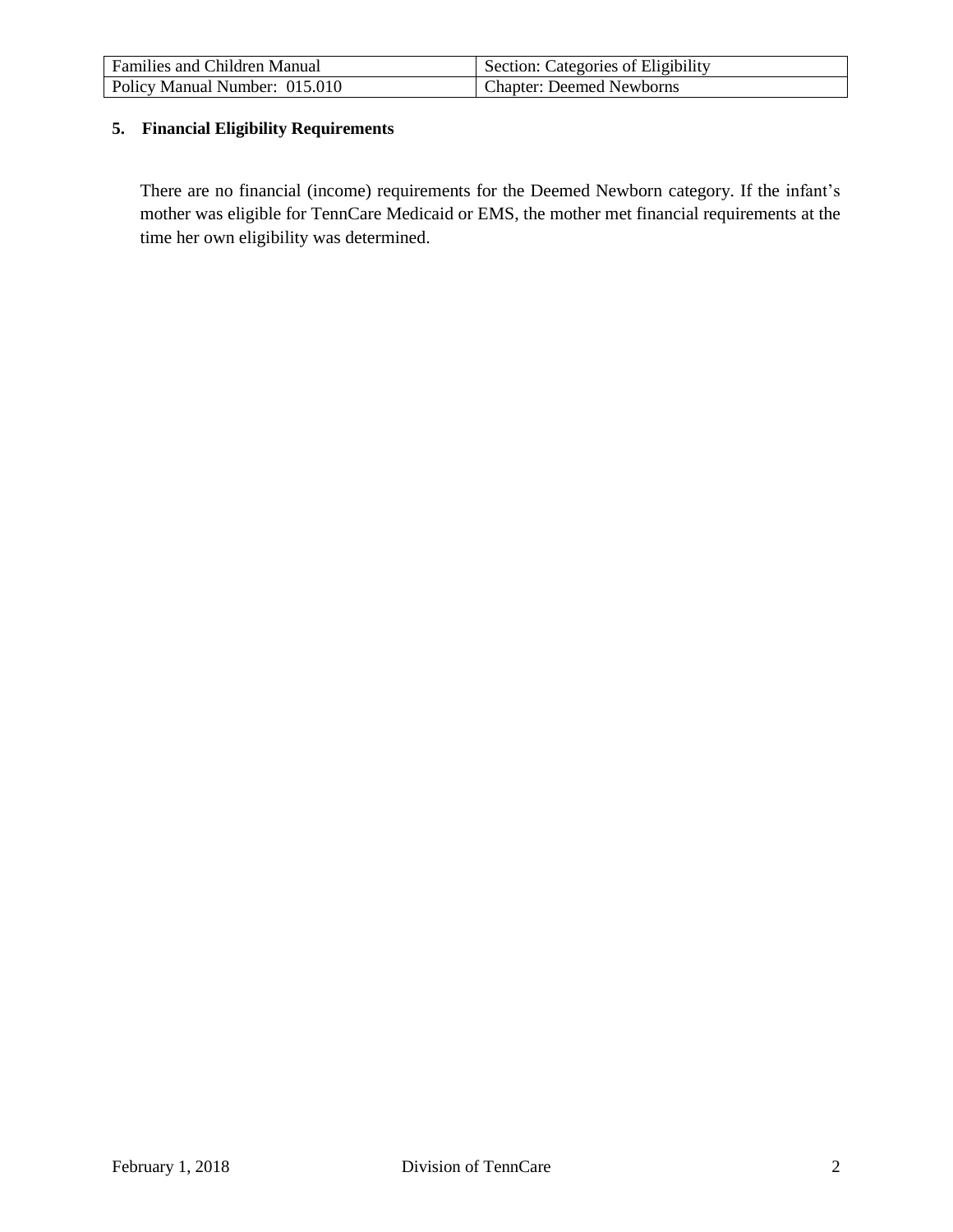| <b>Families and Children Manual</b> | Section: Categories of Eligibility |
|-------------------------------------|------------------------------------|
| Policy Manual Number: 015.010       | Chapter: Deemed Newborns           |

# **5. Financial Eligibility Requirements**

There are no financial (income) requirements for the Deemed Newborn category. If the infant's mother was eligible for TennCare Medicaid or EMS, the mother met financial requirements at the time her own eligibility was determined.